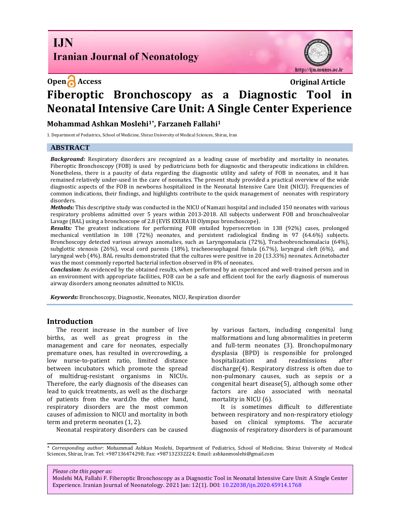**I.IN Iranian Journal of Neonatology** 





# **Open Access Original Article Fiberoptic Bronchoscopy as a Diagnostic Tool in Neonatal Intensive Care Unit: A Single Center Experience**

**Mohammad Ashkan Moslehi1\* , Farzaneh Fallahi<sup>1</sup>**

1. Department of Pediatrics, School of Medicine, Shiraz University of Medical Sciences, Shiraz, Iran

## **ABSTRACT**

*Background:* Respiratory disorders are recognized as a leading cause of morbidity and mortality in neonates. Fiberoptic Bronchoscopy (FOB) is used by pediatricians both for diagnostic and therapeutic indications in children. Nonetheless, there is a paucity of data regarding the diagnostic utility and safety of FOB in neonates, and it has remained relatively under-used in the care of neonates. The present study provided a practical overview of the wide diagnostic aspects of the FOB in newborns hospitalized in the Neonatal Intensive Care Unit (NICU). Frequencies of common indications, their findings, and highlights contribute to the quick management of neonates with respiratory disorders.

*Methods:* This descriptive study was conducted in the NICU of Namazi hospital and included 150 neonates with various respiratory problems admitted over 5 years within 2013-2018. All subjects underwent FOB and bronchoalveolar Lavage (BAL) using a bronchoscope of 2.8 (EVIS EXERA III Olympus bronchoscope).

*Results:* The greatest indications for performing FOB entailed hypersecretion in 138 (92%) cases, prolonged mechanical ventilation in 108 (72%) neonates, and persistent radiological finding in 97 (64.6%) subjects. Bronchoscopy detected various airways anomalies, such as Laryngomalacia (72%), Tracheobronchomalacia (64%), subglottic stenosis (26%), vocal cord paresis (18%), tracheoesophageal fistula (6.7%), laryngeal cleft (6%), and laryngeal web (4%). BAL results demonstrated that the cultures were positive in 20 (13.33%) neonates. Acinetobacter was the most commonly reported bacterial infection observed in 8% of neonates.

*Conclusion:* As evidenced by the obtained results, when performed by an experienced and well-trained person and in an environment with appropriate facilities, FOB can be a safe and efficient tool for the early diagnosis of numerous airway disorders among neonates admitted to NICUs.

*Keywords:* Bronchoscopy, Diagnostic, Neonates, NICU, Respiration disorder

### **Introduction**

The recent increase in the number of live births, as well as great progress in the management and care for neonates, especially premature ones, has resulted in overcrowding, a low nurse-to-patient ratio, limited distance between incubators which promote the spread of multidrug-resistant organisms in NICUs. Therefore, the early diagnosis of the diseases can lead to quick treatments, as well as the discharge of patients from the ward.On the other hand, respiratory disorders are the most common causes of admission to NICU and mortality in both term and preterm neonates [\(1,](#page-3-0) [2\)](#page-3-1).

by various factors, including congenital lung malformations and lung abnormalities in preterm and full-term neonates [\(3\).](#page-3-2) Bronchopulmonary dysplasia (BPD) is responsible for prolonged hospitalization and readmissions after discharge[\(4\)](#page-3-3). Respiratory distress is often due to non-pulmonary causes, such as sepsis or a congenital heart disease[\(5\)](#page-3-4), although some other factors are also associated with neonatal mortality in NICU [\(6\).](#page-3-5) 

It is sometimes difficult to differentiate between respiratory and non-respiratory etiology based on clinical symptoms. The accurate diagnosis of respiratory disorders is of paramount

Neonatal respiratory disorders can be caused

*Please cite this paper as:*

Moslehi MA, Fallahi F. Fiberoptic Bronchoscopy as a Diagnostic Tool in Neonatal Intensive Care Unit: A Single Center Experience. Iranian Journal of Neonatology. 2021 Jan: 12(1). DOI: [10.22038/ijn.2020.45914.1768](https://ijn.mums.ac.ir/)

*<sup>\*</sup> Corresponding author*: Mohammad Ashkan Moslehi, Department of Pediatrics, School of Medicine, Shiraz University of Medical Sciences, Shiraz, Iran. Tel: +987136474298; Fax: +987132332224; Email: [ashkanmoslehi@gmail.com](mailto:ashkanmoslehi@gmail.com)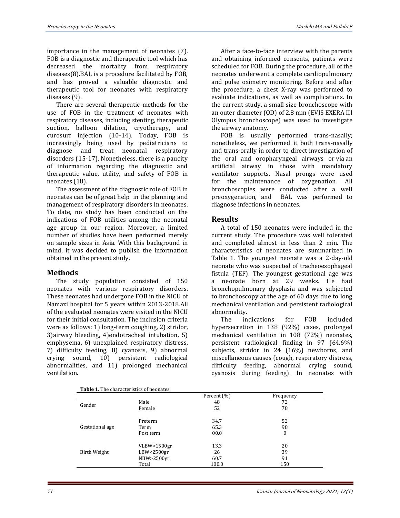importance in the management of neonates [\(7\).](#page-3-6) FOB is a diagnostic and therapeutic tool which has decreased the mortality from respiratory diseases(8).BAL is a procedure facilitated by FOB, and has proved a valuable diagnostic and therapeutic tool for neonates with respiratory diseases [\(9\)](#page-3-7).

There are several therapeutic methods for the use of FOB in the treatment of neonates with respiratory diseases, including stenting, therapeutic suction, balloon dilation, cryotherapy, and curosurf injection (10-14). Today, FOB is increasingly being used by pediatricians to diagnose and treat neonatal respiratory disorders [\(15-17\)](#page-3-8). Nonetheless, there is a paucity of information regarding the diagnostic and therapeutic value, utility, and safety of FOB in neonates [\(18\)](#page-4-0).

The assessment of the diagnostic role of FOB in neonates can be of great help in the planning and management of respiratory disorders in neonates. To date, no study has been conducted on the indications of FOB utilities among the neonatal age group in our region. Moreover, a limited number of studies have been performed merely on sample sizes in Asia. With this background in mind, it was decided to publish the information obtained in the present study.

### **Methods**

The study population consisted of 150 neonates with various respiratory disorders. These neonates had undergone FOB in the NICU of Namazi hospital for 5 years within 2013-2018.All of the evaluated neonates were visited in the NICU for their initial consultation. The inclusion criteria were as follows: 1) long-term coughing, 2) stridor, 3)airway bleeding, 4)endotracheal intubation, 5) emphysema, 6) unexplained respiratory distress, 7) difficulty feeding, 8) cyanosis, 9) abnormal crying sound, 10) persistent radiological abnormalities, and 11) prolonged mechanical ventilation.

After a face-to-face interview with the parents and obtaining informed consents, patients were scheduled for FOB. During the procedure, all of the neonates underwent a complete cardiopulmonary and pulse oximetry monitoring. Before and after the procedure, a chest X-ray was performed to evaluate indications, as well as complications. In the current study, a small size bronchoscope with an outer diameter (OD) of 2.8 mm (EVIS EXERA III Olympus bronchoscope) was used to investigate the airway anatomy.

FOB is usually performed trans-nasally; nonetheless, we performed it both trans-nasally and trans-orally in order to direct investigation of the oral and oropharyngeal airways or via an artificial airway in those with mandatory ventilator supports. Nasal prongs were used for the maintenance of oxygenation. All bronchoscopies were conducted after a well preoxygenation, and BAL was performed to diagnose infections in neonates.

### **Results**

A total of 150 neonates were included in the current study. The procedure was well tolerated and completed almost in less than 2 min. The characteristics of neonates are summarized in Table 1. The youngest neonate was a 2-day-old neonate who was suspected of tracheoesophageal fistula (TEF). The youngest gestational age was a neonate born at 29 weeks. He had bronchopulmonary dysplasia and was subjected to bronchoscopy at the age of 60 days due to long mechanical ventilation and persistent radiological abnormality.

The indications for FOB included hypersecretion in 138 (92%) cases, prolonged mechanical ventilation in 108 (72%) neonates, persistent radiological finding in 97 (64.6%) subjects, stridor in 24 (16%) newborns, and miscellaneous causes (cough, respiratory distress, difficulty feeding, abnormal crying sound, cyanosis during feeding). In neonates with

| Table 1. The characteristics of neonates |               |             |                  |  |  |
|------------------------------------------|---------------|-------------|------------------|--|--|
|                                          |               | Percent (%) | Frequency        |  |  |
| Gender                                   | Male          | 48          | 72               |  |  |
|                                          | Female        | 52          | 78               |  |  |
| Gestational age                          | Preterm       | 34.7        | 52               |  |  |
|                                          | Term          | 65.3        | 98               |  |  |
|                                          | Post term     | 00.0        | $\boldsymbol{0}$ |  |  |
|                                          | VLBW < 1500gr | 13.3        | 20               |  |  |
| Birth Weight                             | LBW < 2500gr  | 26          | 39               |  |  |
|                                          | NBW>2500gr    | 60.7        | 91               |  |  |
|                                          | Total         | 100.0       | 150              |  |  |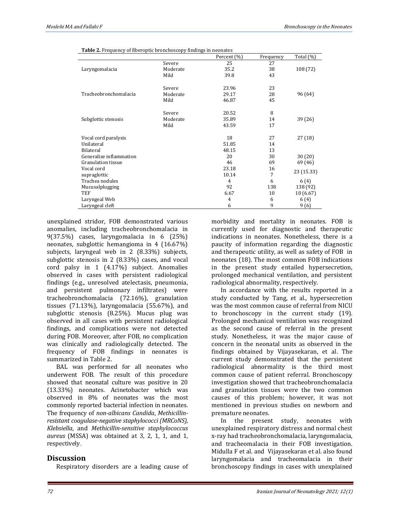| <b>Table 2.</b> Frequency of fiberoptic bronchoscopy findings in neonates |  |  |
|---------------------------------------------------------------------------|--|--|
|                                                                           |  |  |

|                           |          | Percent (%)    | Frequency | Total (%)  |
|---------------------------|----------|----------------|-----------|------------|
|                           | Severe   | 25             | 27        |            |
| Laryngomalacia            | Moderate | 35.2           | 38        | 108 (72)   |
|                           | Mild     | 39.8           | 43        |            |
|                           | Severe   | 23.96          | 23        |            |
| Tracheobronchomalacia     | Moderate | 29.17          | 28        | 96 (64)    |
|                           | Mild     | 46.87          | 45        |            |
|                           | Severe   | 20.52          | 8         |            |
| Subglottic stenosis       | Moderate | 35.89          | 14        | 39 (26)    |
|                           | Mild     | 43.59          | 17        |            |
| Vocal cord paralysis      |          | 18             | 27        | 27(18)     |
| Unilateral                |          | 51.85          | 14        |            |
| Bilateral                 |          | 48.15          | 13        |            |
| Generalize inflammation   |          | 20             | 30        | 30(20)     |
| <b>Granulation tissue</b> |          | 46             | 69        | 69 (46)    |
| Vocal cord                |          | 23.18          | 16        | 23 (15.33) |
| supraglottic              |          | 10.14          | 7         |            |
| Trachea nodules           |          | $\overline{4}$ | 6         | 6 (4)      |
| Mucusalplugging           |          | 92             | 138       | 138 (92)   |
| TEF                       |          | 6.67           | 10        | 10(6.67)   |
| Laryngeal Web             |          | 4              | 6         | 6(4)       |
| Laryngeal cleft           |          | 6              | 9         | 9(6)       |

unexplained stridor, FOB demonstrated various anomalies, including tracheobronchomalacia in 9(37.5%) cases, laryngomalacia in 6 (25%) neonates, subglottic hemangioma in 4 (16.67%) subjects, laryngeal web in 2 (8.33%) subjects, subglottic stenosis in 2 (8.33%) cases, and vocal cord palsy in 1 (4.17%) subject. Anomalies observed in cases with persistent radiological findings (e.g., unresolved atelectasis, pneumonia, and persistent pulmonary infiltrates) were tracheobronchomalacia (72.16%), granulation tissues (71.13%), laryngomalacia (55.67%), and subglottic stenosis (8.25%). Mucus plug was observed in all cases with persistent radiological findings, and complications were not detected during FOB. Moreover, after FOB, no complication was clinically and radiologically detected. The frequency of FOB findings in neonates is summarized in Table 2.

BAL was performed for all neonates who underwent FOB. The result of this procedure showed that neonatal culture was positive in 20 (13.33%) neonates. Acinetobacter which was observed in 8% of neonates was the most commonly reported bacterial infection in neonates. The frequency of *non-albicans Candida*, *Methicillinresistant coagulase-negative staphylococci (MRCoNS)*, *Klebsiella*, and *Methicillin-sensitive staphylococcus aureus* (MSSA) was obtained at 3, 2, 1, 1, and 1, respectively.

### **Discussion**

Respiratory disorders are a leading cause of

morbidity and mortality in neonates. FOB is currently used for diagnostic and therapeutic indications in neonates. Nonetheless, there is a paucity of information regarding the diagnostic and therapeutic utility, as well as safety of FOB in neonates [\(18\)](#page-4-0). The most common FOB indications in the present study entailed hypersecretion, prolonged mechanical ventilation, and persistent radiological abnormality, respectively.

In accordance with the results reported in a study conducted by Tang, et al., hypersecretion was the most common cause of referral from NICU to bronchoscopy in the current study [\(19\).](#page-4-1) Prolonged mechanical ventilation was recognized as the second cause of referral in the present study. Nonetheless, it was the major cause of concern in the neonatal units as observed in the findings obtained by Vijayasekaran, et al. The current study demonstrated that the persistent radiological abnormality is the third most common cause of patient referral. Bronchoscopy investigation showed that tracheobronchomalacia and granulation tissues were the two common causes of this problem; however, it was not mentioned in previous studies on newborn and premature neonates.

In the present study, neonates with unexplained respiratory distress and normal chest x-ray had tracheobronchomalacia, laryngomalacia, and tracheomalacia in their FOB investigation. Midulla F et al. and Vijayasekaran et al. also found laryngomalacia and tracheomalacia in their bronchoscopy findings in cases with unexplained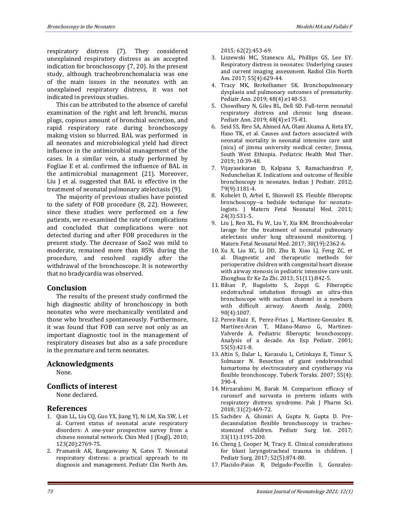respiratory distress (7). They considered unexplained respiratory distress as an accepted indication for bronchoscopy [\(7,](#page-3-6) [20\)](#page-4-2). In the present study, although tracheobronchomalacia was one of the main issues in the neonates with an unexplained respiratory distress, it was not indicated in previous studies.

This can be attributed to the absence of careful examination of the right and left bronchi, mucus plugs, copious amount of bronchial secretion, and rapid respiratory rate during bronchoscopy making vision so blurred. BAL was performed in all neonates and microbiological yield had direct influence in the antimicrobial management of the cases. In a similar vein, a study performed by Fogliae E et al. confirmed the influence of BAL in the antimicrobial management [\(21\).](#page-4-3) Moreover, Liu J et al. suggested that BAL is effective in the treatment of neonatal pulmonary atelectasis (9).

The majority of previous studies have pointed to the safety of FOB procedure (8, 22). However, since these studies were performed on a few patients, we re-examined the rate of complications and concluded that complications were not detected during and after FOB procedures in the present study. The decrease of Sao2 was mild to moderate, remained more than 85% during the procedure, and resolved rapidly after the withdrawal of the bronchoscope. It is noteworthy that no bradycardia was observed.

### **Conclusion**

The results of the present study confirmed the high diagnostic ability of bronchoscopy in both neonates who were mechanically ventilated and those who breathed spontaneously. Furthermore, it was found that FOB can serve not only as an important diagnostic tool in the management of respiratory diseases but also as a safe procedure in the premature and term neonates.

### **Acknowledgments**

None.

### **Conflicts of interest**

None declared.

#### **References**

- <span id="page-3-0"></span>1. Qian LL, Liu CQ, Guo YX, Jiang YJ, Ni LM, Xia SW, L et al. Current status of neonatal acute respiratory disorders: A one-year prospective survey from a chinese neonatal network. Chin Med J (Engl)**.** 2010; 123(20):2769-75.
- <span id="page-3-1"></span>2. Pramanik AK, Rangaswamy N, Gates T. Neonatal respiratory distress: a practical approach to its diagnosis and management. Pediatr Clin North Am.

2015; 62(2):453-69.

- <span id="page-3-2"></span>3. Liszewski MC, Stanescu AL, Phillips GS, Lee EY. Respiratory distress in neonates: Underlying causes and current imaging assessment. Radiol Clin North Am. 2017; 55(4):629-44.
- <span id="page-3-3"></span>4. Tracy MK, Berkelhamer SK. Bronchopulmonary dysplasia and pulmonary outcomes of prematurity. Pediatr Ann. 2019; 48(4):e148-53.
- <span id="page-3-4"></span>5. Chowdhury N, Giles BL, Dell SD. Full-term neonatal respiratory distress and chronic lung disease. Pediatr Ann. 2019; 48(4):e175-81.
- <span id="page-3-5"></span>6. Seid SS, Ibro SA, Ahmed AA, Olani Akuma A, Reta EY, Haso TK, et al. Causes and factors associated with neonatal mortality in neonatal intensive care unit (nicu) of jimma university medical center, Jimma, South West Ethiopia. Pediatric Health Med Ther. 2019; 10:39-48.
- <span id="page-3-6"></span>7. Vijayasekaran D, Kalpana S, Ramachandran P, Nedunchelian K. Indications and outcome of flexible bronchoscopy in neonates. Indian J Pediatr. 2012; 79(9):1181-4.
- 8. Kohelet D, Arbel E, Shinwell ES. Flexible fiberoptic bronchoscopy--a bedside technique for neonatologists. J Matern Fetal Neonatal Med. 2011; 24(3):531-5.
- <span id="page-3-7"></span>9. Liu J, Ren XL, Fu W, Liu Y, Xia RM. Bronchoalveolar lavage for the treatment of neonatal pulmonary atelectasis under lung ultrasound monitoring. J Matern Fetal Neonatal Med. 2017; 30(19):2362-6.
- 10. Xu X, Liu XC, Li DD, Zhu B, Xiao LJ, Feng ZC, et al. Diagnostic and therapeutic methods for perioperative children with congenital heart disease with airway stenosis in pediatric intensive care unit. Zhonghua Er Ke Za Zhi. 2013; 51(11):842-5.
- 11. Biban P, Rugolotto S, Zoppi G. Fiberoptic endotracheal intubation through an ultra-thin bronchoscope with suction channel in a newborn with difficult airway. Anesth Analg. 2000; 90(4):1007.
- 12. Perez-Ruiz E, Perez-Frias J, Martinez-Gonzalez B, Martinez-Aran T, Milano-Manso G, Martinez-Valverde A. Pediatric fiberoptic bronchoscopy. Analysis of a decade. An Esp Pediatr. 2001; 55(5):421-8.
- 13. Altin S, Dalar L, Karasulu L, Cetinkaya E, Timur S, Solmazer N. Resection of giant endobronchial hamartoma by electrocautery and cryotherapy via flexible bronchoscopy. Tuberk Toraks. 2007; 55(4): 390-4.
- 14. Mirzarahimi M, Barak M. Comparison efficacy of curosurf and survanta in preterm infants with respiratory distress syndrome. Pak J Pharm Sci. 2018; 31(2):469-72.
- <span id="page-3-8"></span>15. Sachdev A, Ghimiri A, Gupta N, Gupta D. Predecannulation flexible bronchoscopy in tracheostomized children. Pediatr Surg Int. 2017; 33(11):1195-200.
- 16. Cheng J, Cooper M, Tracy E. Clinical considerations for blunt laryngotracheal trauma in children. J Pediatr Surg. 2017; 52(5):874-80.
- 17. Placido-Paias R, Delgado-Pecellin I, Gonzalez-